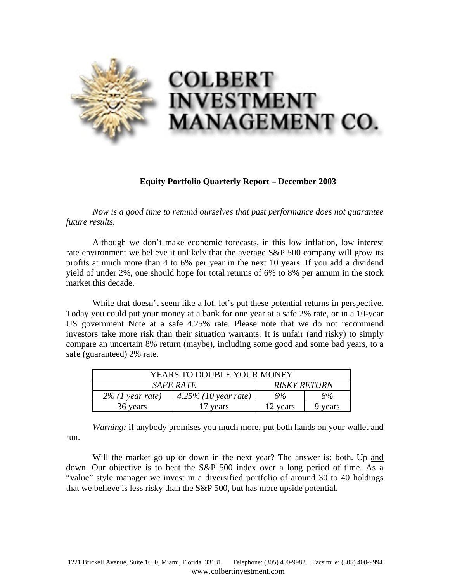

## **Equity Portfolio Quarterly Report – December 2003**

*Now is a good time to remind ourselves that past performance does not guarantee future results.* 

Although we don't make economic forecasts, in this low inflation, low interest rate environment we believe it unlikely that the average S&P 500 company will grow its profits at much more than 4 to 6% per year in the next 10 years. If you add a dividend yield of under 2%, one should hope for total returns of 6% to 8% per annum in the stock market this decade.

While that doesn't seem like a lot, let's put these potential returns in perspective. Today you could put your money at a bank for one year at a safe 2% rate, or in a 10-year US government Note at a safe 4.25% rate. Please note that we do not recommend investors take more risk than their situation warrants. It is unfair (and risky) to simply compare an uncertain 8% return (maybe), including some good and some bad years, to a safe (guaranteed) 2% rate.

| YEARS TO DOUBLE YOUR MONEY |                      |                     |         |
|----------------------------|----------------------|---------------------|---------|
| <i>SAFE RATE</i>           |                      | <b>RISKY RETURN</b> |         |
| $2\%$ (1 year rate)        | 4.25% (10 year rate) | 6%                  | 8%      |
| 36 years                   | 17 years             | 12 years            | 9 years |

*Warning:* if anybody promises you much more, put both hands on your wallet and run.

Will the market go up or down in the next year? The answer is: both. Up and down. Our objective is to beat the S&P 500 index over a long period of time. As a "value" style manager we invest in a diversified portfolio of around 30 to 40 holdings that we believe is less risky than the S&P 500, but has more upside potential.